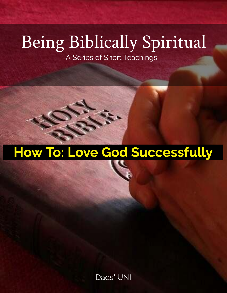# Being Biblically Spiritual

A Series of Short Teachings

## How To: Love God Successfully

Dads' UNI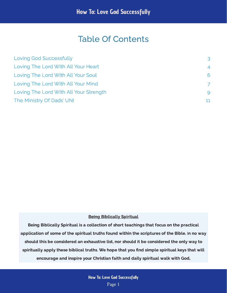## Table Of Contents

| Loving God Successfully                | 3              |
|----------------------------------------|----------------|
| Loving The Lord With All Your Heart    | $\overline{4}$ |
| Loving The Lord With All Your Soul     | 6              |
| Loving The Lord With All Your Mind     | 7              |
| Loving The Lord With All Your Strength | 9              |
| The Ministry Of Dads' UNI              | 11             |

#### **Being Biblically Spiritual**

Being Biblically Spiritual is a collection of short teachings that focus on the practical application of some of the spiritual truths found within the scriptures of the Bible. In no way should this be considered an exhaustive list, nor should it be considered the only way to spiritually apply these biblical truths. We hope that you find simple spiritual keys that will encourage and inspire your Christian faith and daily spiritual walk with God.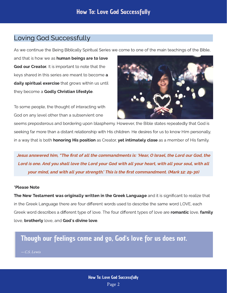## <span id="page-2-0"></span>Loving God Successfully

As we continue the Being Biblically Spiritual Series we come to one of the main teachings of the Bible,

and that is how we as **human beings are to love** God our Creator. It is important to note that the keys shared in this series are meant to become **a** daily spiritual exercise that grows within us until they become a Godly Christian lifestyle.

To some people, the thought of interacting with God on any level other than a subservient one



seems preposterous and bordering upon blasphemy. However, the Bible states repeatedly that God is seeking far more than a distant relationship with His children. He desires for us to know Him personally, in a way that is both **honoring His position** as Creator, yet intimately close as a member of His family.

Jesus answered him, "The first of all the commandments is: 'Hear, O Israel, the Lord our God, the Lord is one. And you shall love the Lord your God with all your heart, with all your soul, with all your mind, and with all your strength.' This is the first commandment. (Mark 12: 29-30)

#### \*Please Note

The New Testament was originally written in the Greek Language and it is significant to realize that in the Greek Language there are four different words used to describe the same word LOVE, each Greek word describes a different type of love. The four different types of love are romantic love, family love, **brotherly** love, and God's divine love.

Though our feelings come and go, God's love for us does not.

#### — C.S. Lewis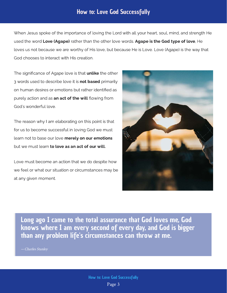### How to: Love God Successfully

When Jesus spoke of the importance of loving the Lord with all your heart, soul, mind, and strength He used the word Love (Agape) rather than the other love words. Agape is the God type of love. He loves us not because we are worthy of His love, but because He is Love. Love (Agape) is the way that God chooses to interact with His creation.

The significance of Agape love is that **unlike** the other 3 words used to describe love it is **not based** primarily on human desires or emotions but rather identified as purely action and as **an act of the will** flowing from God's wonderful love.

The reason why I am elaborating on this point is that for us to become successful in loving God we must learn not to base our love merely on our emotions but we must learn **to love as an act of our will.** 

Love must become an action that we do despite how we feel or what our situation or circumstances may be at any given moment.



Long ago I came to the total assurance that God loves me, God knows where I am every second of every day, and God is bigger than any problem life's circumstances can throw at me.

— Charles Stanley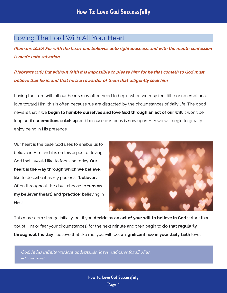## <span id="page-4-0"></span>Loving The Lord With All Your Heart

(Romans 10:10) For with the heart one believes unto righteousness, and with the mouth confession is made unto salvation.

(Hebrews 11:6) But without faith it is impossible to please him: for he that cometh to God must believe that he is, and that he is a rewarder of them that diligently seek him

Loving the Lord with all our hearts may often need to begin when we may feel little or no emotional love toward Him, this is often because we are distracted by the circumstances of daily life. The good news is that if we **begin to humble ourselves and love God through an act of our will** it won't be long until our **emotions catch up** and because our focus is now upon Him we will begin to greatly enjoy being in His presence.

Our heart is the base God uses to enable us to believe in Him and it is on this aspect of loving God that I would like to focus on today. Our heart is the way through which we believe,  $\mathsf I$ like to describe it as my personal **'believer'.** Often throughout the day, I choose to turn on my believer (heart) and 'practice' believing in Him!



This may seem strange initially, but if you **decide as an act of your will to believe in God** (rather than doubt Him or fear vour circumstances) for the next minute and then begin to **do that regularly** throughout the day I believe that like me, you will feel a significant rise in your daily faith level.

God, in his infinite wisdom understands, loves, and cares for all of us. — Oliver Powell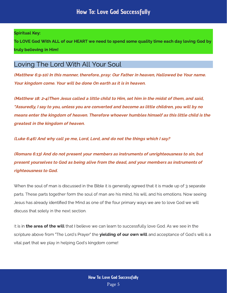#### Spiritual Key:

To LOVE God With ALL of our HEART we need to spend some quality time each day loving God by  $t_{\text{max}}$  is the Higher Him  $t_{\text{max}}$ 

## <span id="page-5-0"></span>Loving The Lord With All Your Soul

(Matthew 6:9-10) In this manner, therefore, pray: Our Father in heaven, Hallowed be Your name. Your kingdom come. Your will be done On earth as it is in heaven.

(Matthew 18: 2-4)Then Jesus called a little child to Him, set him in the midst of them, and said, "Assuredly, I say to you, unless you are converted and become as little children, you will by no means enter the kingdom of heaven. Therefore whoever humbles himself as this little child is the greatest in the kingdom of heaven.

(Luke 6:46) And why call ye me, Lord, Lord, and do not the things which I say?

(Romans 6:13) And do not present your members as instruments of unrighteousness to sin, but present yourselves to God as being alive from the dead, and your members as instruments of righteousness to God.

When the soul of man is discussed in the Bible it is generally agreed that it is made up of 3 separate parts. These parts together form the soul of man are his mind, his will, and his emotions. Now seeing Jesus has already identified the Mind as one of the four primary ways we are to love God we will discuss that solely in the next section.

It is in the area of the will that I believe we can learn to successfully love God. As we see in the scripture above from "The Lord's Praver" the **vielding of our own will** and acceptance of God's will is a vital part that we play in helping God's kingdom come!  $y$ <sup>1</sup>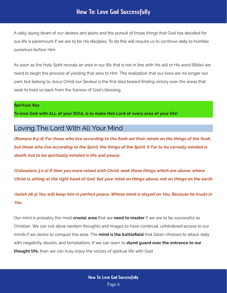### How To: Love God Successfully

A daily laying down of our desires and plans and the pursuit of those things that God has decided for our life is paramount if we are to be His disciples. To do this will require us to continue daily to humble ourselves before Him.

As soon as the Holy Spirit reveals an area in our life that is not in line with His will or His word (Bible) we need to begin the process of yielding that area to Him. The realization that our lives are no longer our own, but belong to Jesus Christ our Saviour is the rst step toward nding victory over the areas that seek to hold us back from the fulness of God's blessing.

#### Spiritual Key

To love God with ALL of your SOUL is to make Him Lord of every area of your life!

## <span id="page-6-0"></span>Loving The Lord With All Your Mind

(Romans 8:5-6) For those who live according to the flesh set their minds on the things of the flesh, but those who live according to the Spirit, the things of the Spirit. 6 For to be carnally minded is death, but to be spiritually minded is life and peace.

(Colossians 3:1-2) If then you were raised with Christ, seek those things which are above, where Christ is, sitting at the right hand of God. Set your mind on things above, not on things on the earth.

(Isaiah 26:3) You will keep him in perfect peace, Whose mind is stayed on You, Because he trusts in You

Our mind is probably the most that we if we are to be successful as Christian. We can not allow random thoughts and images to have continual, unhindered access to our minds if we desire to conquer the theory that  $\alpha$  that  $\alpha$  are a that satisfied at the that  $\alpha$  attack daily with negativity, do the text and temperature in the can learn to then we can truly enjoy the victory of spiritual life with God. crucial area that we need to master  $m$ ind is the battlefield stand guard over the entrance to our thought life,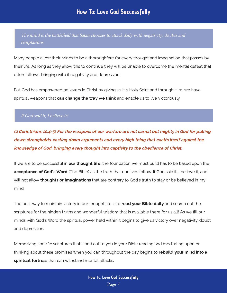The mind is the battlefield that Satan chooses to attack daily with negativity, doubts and temptations

Many people allow their minds to be a thoroughfare for every thought and imagination that passes by their life. As long as they allow this to continue they will be unable to overcome the mental defeat that often follows, bringing with it negativity and depression.

But God has empowered believers in Christ by giving us His Holy Spirit and through Him, we have spiritual weapons that can change the way we think and enable us to live victoriously.

#### If God said it, I believe it!

(2 Corinthians 10:4-5) For the weapons of our warfare are not carnal but mighty in God for pulling down strongholds, casting down arguments and every high thing that exalts itself against the knowledge of God, bringing every thought into captivity to the obedience of Christ,

If we are to be successful in **our thought life**, the foundation we must build has to be based upon the acceptance of God's Word (The Bible) as the truth that our lives follow. If God said it, I believe it, and will not allow **thoughts or imaginations** that are contrary to God's truth to stay or be believed in my mind.

The best way to maintain victory in our thought life is to read vour Bible daily and search out the scriptures for the hidden truths and wonderful wisdom that is available there for us all! As we fill our minds with God's Word the spiritual power held within it begins to give us victory over negativity, doubt, and depression.

Memorizing specific scriptures that stand out to you in your Bible reading and meditating upon or thinking about these promises when you can throughout the day begins to **rebuild your mind into a** spiritual fortress that can withstand mental attacks.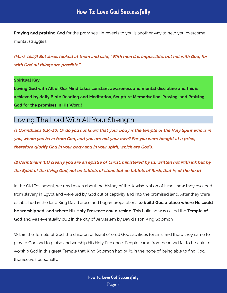**Praying and praising God** for the promises He reveals to you is another way to help you overcome mental struggles.

(Mark 10:27) But Jesus looked at them and said, "With men it is impossible, but not with God; for with God all things are possible."

#### Spiritual Key

Loving God with All of Our Mind takes constant awareness and mental discipline and this is achieved by daily Bible Reading and Meditation, Scripture Memorisation, Praying, and Praising God for the promises in His Word!

#### <span id="page-8-0"></span>Loving The Lord With All Your Strength

(1 Corinthians 6:19-20) Or do you not know that your body is the temple of the Holy Spirit who is in you, whom you have from God, and you are not your own? For you were bought at a price; therefore glorify God in your body and in your spirit, which are God's.

(2 Corinthians 3:3) clearly you are an epistle of Christ, ministered by us, written not with ink but by the Spirit of the living God, not on tablets of stone but on tablets of flesh, that is, of the heart

In the Old Testament, we read much about the history of the Jewish Nation of Israel, how they escaped from slavery in Egypt and were led by God out of captivity and into the promised land. After they were established in the land King David arose and began preparations **to build God a place where He could** be worshipped, and where His Holy Presence could reside. This building was called the Temple of God and was eventually built in the city of Jerusalem by David's son King Solomon.

Within the Temple of God, the children of Israel offered God sacrifices for sins, and there they came to pray to God and to praise and worship His Holy Presence. People came from near and far to be able to worship God in this great Temple that King Solomon had built, in the hope of being able to find God themselves personally.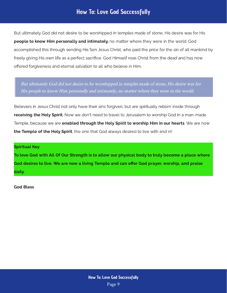## How To: Love God Successfully

But ultimately God did not desire to be worshipped in temples made of stone, His desire was for His people to know Him personally and intimately, no matter where they were in the world. God accomplished this through sending His Son Jesus Christ, who paid the price for the sin of all mankind by freely giving His own life as a perfect sacrifice. God Himself rose Christ from the dead and has now offered forgiveness and eternal salvation to all who believe in Him.

But ultimately God did not desire to be worshipped in temples made of stone, His desire was for His people to know Him personally and intimately, no matter where they were in the world.

Believers in Jesus Christ not only have their sins forgiven, but are spiritually reborn inside through receiving the Holy Spirit. Now we don't need to travel to Jerusalem to worship God in a man-made Temple, because we are enabled through the Holy Spirit to worship Him in our hearts. We are now the Temple of the Holy Spirit, the one that God always desired to live with and in!

#### Spiritual Key

To love God with All Of Our Strength is to allow our physical body to truly become a place where God desires to live. We are now a living Temple and can offer God prayer, worship, and praise daily.

God Bless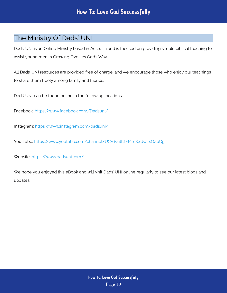## <span id="page-10-0"></span>The Ministry Of Dads' UNI

Dads' UNI is an Online Ministry based in Australia and is focused on providing simple biblical teaching to assist young men in Growing Families God's Way.

All Dads' UNI resources are provided free of charge, and we encourage those who enjoy our teachings to share them freely among family and friends.

Dads' UNI can be found online in the following locations:

Facebook: <https://www.facebook.com/Dadsuni/>

Instagram:<https://www.instagram.com/dadsuni/>

You Tube: [https://www.youtube.com/channel/UCV1vuth1FMmKxiJw\\_xQZpQg](https://www.youtube.com/channel/UCV1vuth1FMmKxiJw_xQZpQg)

Website: <https://www.dadsuni.com/>

We hope you enjoyed this eBook and will visit Dads' UNI online regularly to see our latest blogs and updates.